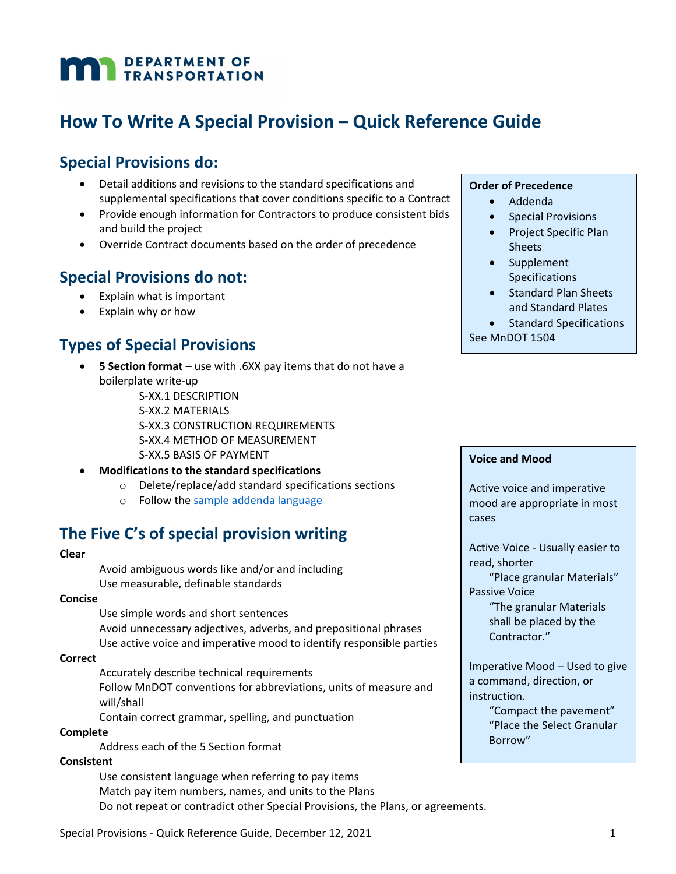# **MAN** DEPARTMENT OF

# **How To Write A Special Provision – Quick Reference Guide**

## **Special Provisions do:**

- Detail additions and revisions to the standard specifications and supplemental specifications that cover conditions specific to a Contract
- Provide enough information for Contractors to produce consistent bids and build the project
- Override Contract documents based on the order of precedence

## **Special Provisions do not:**

- Explain what is important
- Explain why or how

## **Types of Special Provisions**

- **5 Section format** use with .6XX pay items that do not have a boilerplate write‐up
	- S‐XX.1 DESCRIPTION
	- S‐XX.2 MATERIALS

S‐XX.3 CONSTRUCTION REQUIREMENTS

S‐XX.4 METHOD OF MEASUREMENT

S‐XX.5 BASIS OF PAYMENT

- **Modifications to the standard specifications**
	- o Delete/replace/add standard specifications sections
	- o Follow the sample addenda language

## **The Five C's of special provision writing**

#### **Clear**

Avoid ambiguous words like and/or and including Use measurable, definable standards

#### **Concise**

Use simple words and short sentences Avoid unnecessary adjectives, adverbs, and prepositional phrases Use active voice and imperative mood to identify responsible parties

#### **Correct**

Accurately describe technical requirements Follow MnDOT conventions for abbreviations, units of measure and will/shall

Contain correct grammar, spelling, and punctuation

#### **Complete**

Address each of the 5 Section format

#### **Consistent**

Use consistent language when referring to pay items Match pay item numbers, names, and units to the Plans Do not repeat or contradict other Special Provisions, the Plans, or agreements.

#### **Order of Precedence**

- Addenda
- Special Provisions
- Project Specific Plan Sheets
- Supplement Specifications
- Standard Plan Sheets and Standard Plates
- Standard Specifications See MnDOT 1504

#### **Voice and Mood**

Active voice and imperative mood are appropriate in most cases

Active Voice ‐ Usually easier to read, shorter

"Place granular Materials" Passive Voice

> "The granular Materials shall be placed by the Contractor."

Imperative Mood – Used to give a command, direction, or instruction.

> "Compact the pavement" "Place the Select Granular Borrow"